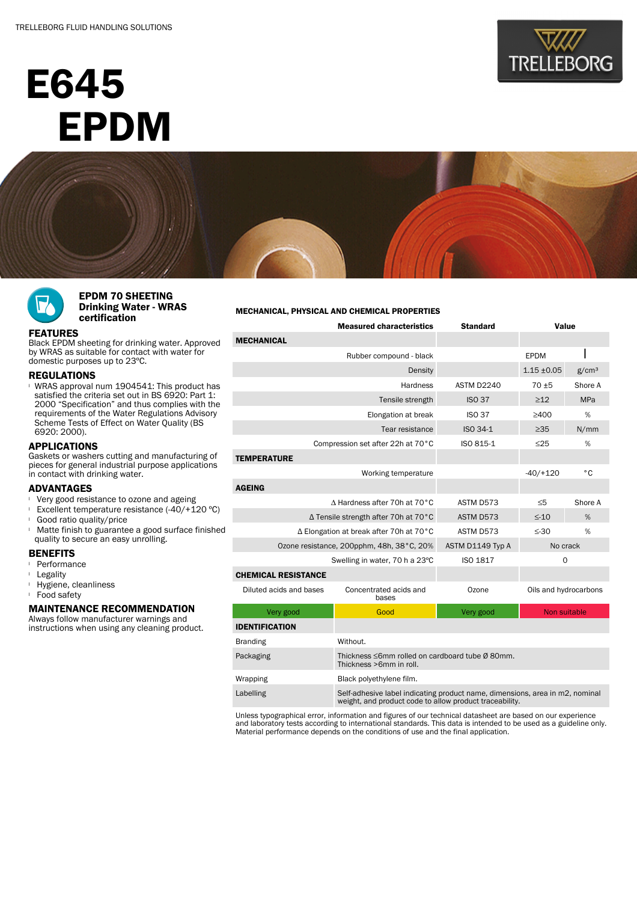# E645 EPDM







### EPDM 70 SHEETING Drinking Water - WRAS certification

## FEATURES

Black EPDM sheeting for drinking water. Approved by WRAS as suitable for contact with water for domestic purposes up to 23ºC.

#### REGULATIONS

WRAS approval num 1904541: This product has satisfied the criteria set out in BS 6920: Part 1: 2000 "Specification" and thus complies with the requirements of the Water Regulations Advisory Scheme Tests of Effect on Water Quality (BS 6920: 2000).

# APPLICATIONS

Gaskets or washers cutting and manufacturing of pieces for general industrial purpose applications in contact with drinking water.

# **ADVANTAGES**

- Very good resistance to ozone and ageing
- Excellent temperature resistance  $(-40/+120 °C)$
- **Good ratio quality/price**
- <sup>l</sup> Matte finish to guarantee a good surface finished quality to secure an easy unrolling.

### **BENEFITS**

- <sup>l</sup> Performance
- <sup>l</sup> Legality
- <sup>l</sup> Hygiene, cleanliness
- <sup>l</sup> Food safety

# MAINTENANCE RECOMMENDATION

Always follow manufacturer warnings and instructions when using any cleaning product.

#### MECHANICAL, PHYSICAL AND CHEMICAL PROPERTIES

| <b>Measured characteristics</b>           |                                                                                                                                         | <b>Standard</b> | Value                 |      |  |  |  |
|-------------------------------------------|-----------------------------------------------------------------------------------------------------------------------------------------|-----------------|-----------------------|------|--|--|--|
| <b>MECHANICAL</b>                         |                                                                                                                                         |                 |                       |      |  |  |  |
|                                           | Rubber compound - black                                                                                                                 |                 | <b>EPDM</b>           |      |  |  |  |
|                                           |                                                                                                                                         | $1.15 \pm 0.05$ | g/cm <sup>3</sup>     |      |  |  |  |
|                                           | ASTM D2240                                                                                                                              | $70 + 5$        | Shore A               |      |  |  |  |
|                                           | <b>ISO 37</b>                                                                                                                           | $\geq$ 12       | MPa                   |      |  |  |  |
|                                           | <b>ISO 37</b>                                                                                                                           | >400            | %                     |      |  |  |  |
|                                           | Tear resistance                                                                                                                         | ISO 34-1        | $\geq 35$             | N/mm |  |  |  |
|                                           | Compression set after 22h at 70°C                                                                                                       | ISO 815-1       | $\leq$ 25             | %    |  |  |  |
| <b>TEMPERATURE</b>                        |                                                                                                                                         |                 |                       |      |  |  |  |
|                                           |                                                                                                                                         | $-40/+120$      | °C                    |      |  |  |  |
| <b>AGEING</b>                             |                                                                                                                                         |                 |                       |      |  |  |  |
| ∆ Hardness after 70h at 70°C              | ASTM D573                                                                                                                               | $\leq 5$        | Shore A               |      |  |  |  |
| ∆ Tensile strength after 70h at 70°C      | ASTM D573                                                                                                                               | $\leq$ -10      | %                     |      |  |  |  |
| ∆ Elongation at break after 70h at 70°C   | ASTM D573                                                                                                                               | $\leq$ -30      | %                     |      |  |  |  |
| Ozone resistance, 200pphm, 48h, 38°C, 20% | ASTM D1149 Typ A                                                                                                                        | No crack        |                       |      |  |  |  |
| Swelling in water, 70 h a 23°C            | ISO 1817                                                                                                                                | $\Omega$        |                       |      |  |  |  |
| <b>CHEMICAL RESISTANCE</b>                |                                                                                                                                         |                 |                       |      |  |  |  |
| Diluted acids and bases                   | Concentrated acids and<br>bases                                                                                                         | Ozone           | Oils and hydrocarbons |      |  |  |  |
| Very good                                 | Good                                                                                                                                    | Very good       | Non suitable          |      |  |  |  |
| <b>IDENTIFICATION</b>                     |                                                                                                                                         |                 |                       |      |  |  |  |
| <b>Branding</b>                           | Without.                                                                                                                                |                 |                       |      |  |  |  |
| Packaging                                 | Thickness ≤6mm rolled on cardboard tube Ø 80mm.<br>Thickness >6mm in roll.                                                              |                 |                       |      |  |  |  |
| Wrapping                                  | Black polyethylene film.                                                                                                                |                 |                       |      |  |  |  |
| Labelling                                 | Self-adhesive label indicating product name, dimensions, area in m2, nominal<br>weight, and product code to allow product traceability. |                 |                       |      |  |  |  |

Unless typographical error, information and figures of our technical datasheet are based on our experience and laboratory tests according to international standards. This data is intended to be used as a guideline only. Material performance depends on the conditions of use and the final application.